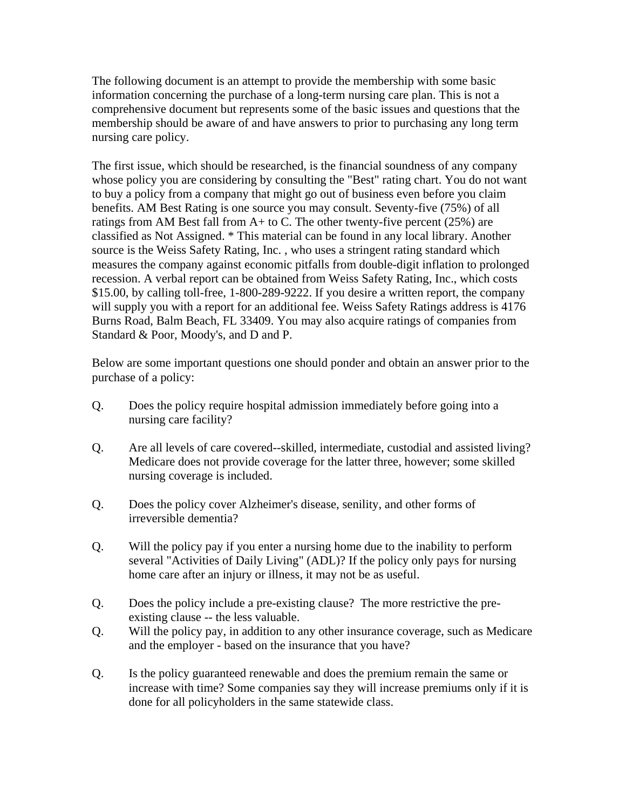The following document is an attempt to provide the membership with some basic information concerning the purchase of a long-term nursing care plan. This is not a comprehensive document but represents some of the basic issues and questions that the membership should be aware of and have answers to prior to purchasing any long term nursing care policy.

The first issue, which should be researched, is the financial soundness of any company whose policy you are considering by consulting the "Best" rating chart. You do not want to buy a policy from a company that might go out of business even before you claim benefits. AM Best Rating is one source you may consult. Seventy-five (75%) of all ratings from AM Best fall from  $A+$  to C. The other twenty-five percent (25%) are classified as Not Assigned. \* This material can be found in any local library. Another source is the Weiss Safety Rating, Inc. , who uses a stringent rating standard which measures the company against economic pitfalls from double-digit inflation to prolonged recession. A verbal report can be obtained from Weiss Safety Rating, Inc., which costs \$15.00, by calling toll-free, 1-800-289-9222. If you desire a written report, the company will supply you with a report for an additional fee. Weiss Safety Ratings address is 4176 Burns Road, Balm Beach, FL 33409. You may also acquire ratings of companies from Standard & Poor, Moody's, and D and P.

Below are some important questions one should ponder and obtain an answer prior to the purchase of a policy:

- Q. Does the policy require hospital admission immediately before going into a nursing care facility?
- Q. Are all levels of care covered--skilled, intermediate, custodial and assisted living? Medicare does not provide coverage for the latter three, however; some skilled nursing coverage is included.
- Q. Does the policy cover Alzheimer's disease, senility, and other forms of irreversible dementia?
- Q. Will the policy pay if you enter a nursing home due to the inability to perform several "Activities of Daily Living" (ADL)? If the policy only pays for nursing home care after an injury or illness, it may not be as useful.
- Q. Does the policy include a pre-existing clause? The more restrictive the preexisting clause -- the less valuable.
- Q. Will the policy pay, in addition to any other insurance coverage, such as Medicare and the employer - based on the insurance that you have?
- Q. Is the policy guaranteed renewable and does the premium remain the same or increase with time? Some companies say they will increase premiums only if it is done for all policyholders in the same statewide class.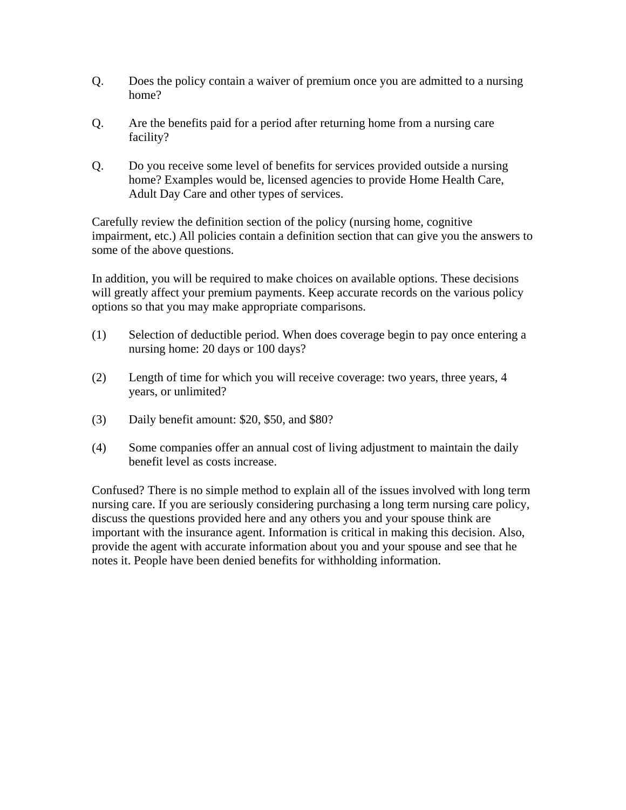- Q. Does the policy contain a waiver of premium once you are admitted to a nursing home?
- Q. Are the benefits paid for a period after returning home from a nursing care facility?
- Q. Do you receive some level of benefits for services provided outside a nursing home? Examples would be, licensed agencies to provide Home Health Care, Adult Day Care and other types of services.

Carefully review the definition section of the policy (nursing home, cognitive impairment, etc.) All policies contain a definition section that can give you the answers to some of the above questions.

In addition, you will be required to make choices on available options. These decisions will greatly affect your premium payments. Keep accurate records on the various policy options so that you may make appropriate comparisons.

- (1) Selection of deductible period. When does coverage begin to pay once entering a nursing home: 20 days or 100 days?
- (2) Length of time for which you will receive coverage: two years, three years, 4 years, or unlimited?
- (3) Daily benefit amount: \$20, \$50, and \$80?
- (4) Some companies offer an annual cost of living adjustment to maintain the daily benefit level as costs increase.

Confused? There is no simple method to explain all of the issues involved with long term nursing care. If you are seriously considering purchasing a long term nursing care policy, discuss the questions provided here and any others you and your spouse think are important with the insurance agent. Information is critical in making this decision. Also, provide the agent with accurate information about you and your spouse and see that he notes it. People have been denied benefits for withholding information.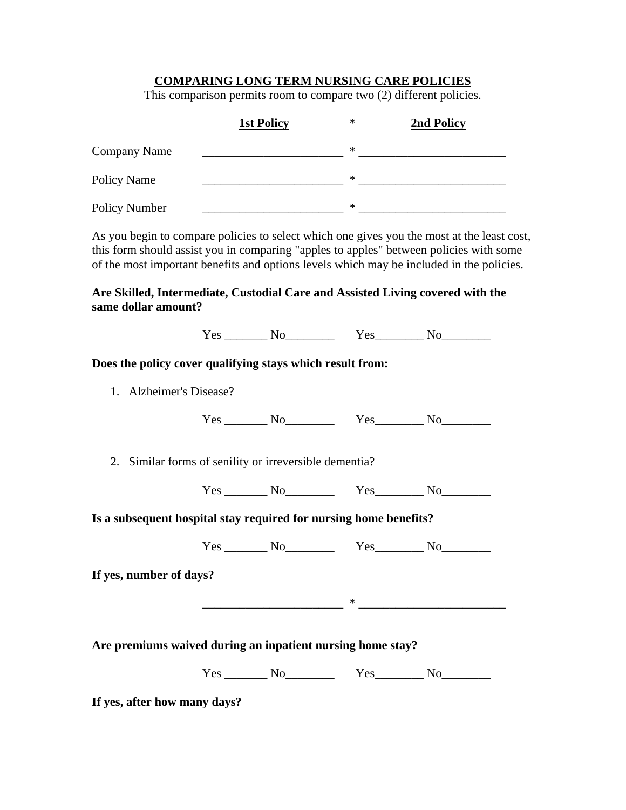## **COMPARING LONG TERM NURSING CARE POLICIES**

This comparison permits room to compare two (2) different policies.

|                     | <b>1st Policy</b> | $\ast$ | 2nd Policy |
|---------------------|-------------------|--------|------------|
| <b>Company Name</b> |                   | $\ast$ |            |
| Policy Name         |                   | $\ast$ |            |
| Policy Number       |                   | $\ast$ |            |

As you begin to compare policies to select which one gives you the most at the least cost, this form should assist you in comparing "apples to apples" between policies with some of the most important benefits and options levels which may be included in the policies.

## **Are Skilled, Intermediate, Custodial Care and Assisted Living covered with the same dollar amount?**

| Does the policy cover qualifying stays which result from:         |                                                        |  |
|-------------------------------------------------------------------|--------------------------------------------------------|--|
| 1. Alzheimer's Disease?                                           |                                                        |  |
|                                                                   |                                                        |  |
|                                                                   | 2. Similar forms of senility or irreversible dementia? |  |
|                                                                   | $Yes$ No $Yes$ No $Yes$ No $No$                        |  |
| Is a subsequent hospital stay required for nursing home benefits? |                                                        |  |
|                                                                   |                                                        |  |
| If yes, number of days?                                           |                                                        |  |
|                                                                   |                                                        |  |
|                                                                   |                                                        |  |
| Are premiums waived during an inpatient nursing home stay?        |                                                        |  |
|                                                                   |                                                        |  |

**If yes, after how many days?**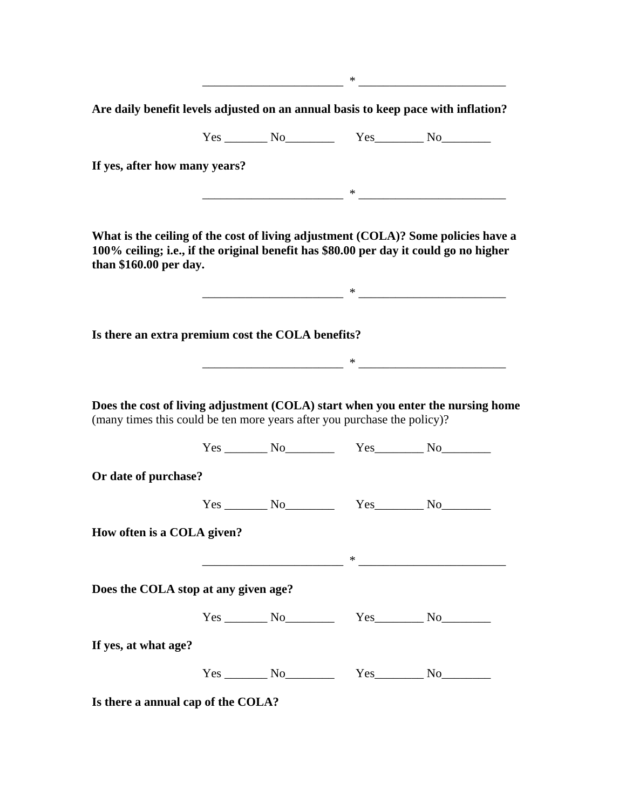$\ast$ 

**Are daily benefit levels adjusted on an annual basis to keep pace with inflation?** 

Yes No No Yes No

**If yes, after how many years?** 

 $\ast$ 

**What is the ceiling of the cost of living adjustment (COLA)? Some policies have a 100% ceiling; i.e., if the original benefit has \$80.00 per day it could go no higher than \$160.00 per day.**

 $\ast$ 

 $\ast$ 

**Is there an extra premium cost the COLA benefits?** 

**Does the cost of living adjustment (COLA) start when you enter the nursing home**  (many times this could be ten more years after you purchase the policy)?

Yes \_\_\_\_\_\_\_ No\_\_\_\_\_\_\_\_ Yes\_\_\_\_\_\_\_\_ No\_\_\_\_\_\_\_\_ **Or date of purchase?**  Yes \_\_\_\_\_\_\_ No\_\_\_\_\_\_\_\_ Yes\_\_\_\_\_\_\_\_ No\_\_\_\_\_\_\_\_

**How often is a COLA given?** 

 $\ast$ 

**Does the COLA stop at any given age?** 

Yes \_\_\_\_\_\_\_ No\_\_\_\_\_\_\_\_ Yes\_\_\_\_\_\_\_\_ No\_\_\_\_\_\_\_\_

**If yes, at what age?** 

Yes No<sub>l</sub> No<sub>l</sub> Yes No

**Is there a annual cap of the COLA?**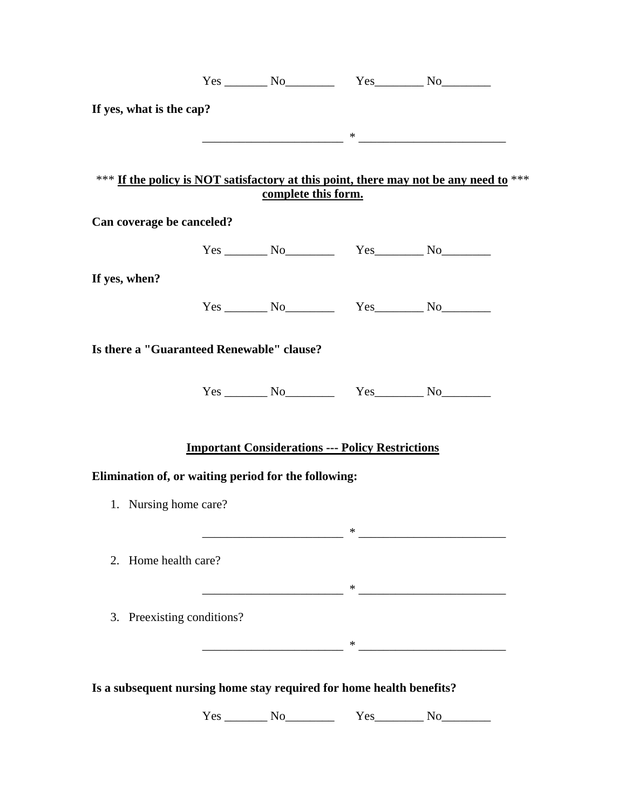|                                                                      | $Yes$ No $Yes$ No $Yes$ No $No$                         |                                      |                                                                                       |
|----------------------------------------------------------------------|---------------------------------------------------------|--------------------------------------|---------------------------------------------------------------------------------------|
| If yes, what is the cap?                                             |                                                         |                                      |                                                                                       |
|                                                                      |                                                         | $*$ . The contract of $\overline{z}$ |                                                                                       |
|                                                                      |                                                         |                                      |                                                                                       |
|                                                                      | complete this form.                                     |                                      | *** If the policy is NOT satisfactory at this point, there may not be any need to *** |
| Can coverage be canceled?                                            |                                                         |                                      |                                                                                       |
|                                                                      |                                                         |                                      |                                                                                       |
| If yes, when?                                                        |                                                         |                                      |                                                                                       |
|                                                                      |                                                         |                                      |                                                                                       |
|                                                                      |                                                         |                                      |                                                                                       |
| Is there a "Guaranteed Renewable" clause?                            |                                                         |                                      |                                                                                       |
|                                                                      |                                                         |                                      |                                                                                       |
|                                                                      |                                                         |                                      |                                                                                       |
|                                                                      | <b>Important Considerations --- Policy Restrictions</b> |                                      |                                                                                       |
| Elimination of, or waiting period for the following:                 |                                                         |                                      |                                                                                       |
| 1. Nursing home care?                                                |                                                         |                                      |                                                                                       |
|                                                                      |                                                         |                                      |                                                                                       |
|                                                                      |                                                         | ∗                                    |                                                                                       |
| 2. Home health care?                                                 |                                                         |                                      |                                                                                       |
|                                                                      |                                                         |                                      | * <u>_______________________</u>                                                      |
| Preexisting conditions?<br>3.                                        |                                                         |                                      |                                                                                       |
|                                                                      |                                                         | ∗                                    |                                                                                       |
|                                                                      |                                                         |                                      |                                                                                       |
| Is a subsequent nursing home stay required for home health benefits? |                                                         |                                      |                                                                                       |

Yes \_\_\_\_\_\_\_\_ No\_\_\_\_\_\_\_\_\_\_\_\_ Yes \_\_\_\_\_\_\_\_ No\_\_\_\_\_\_\_\_\_\_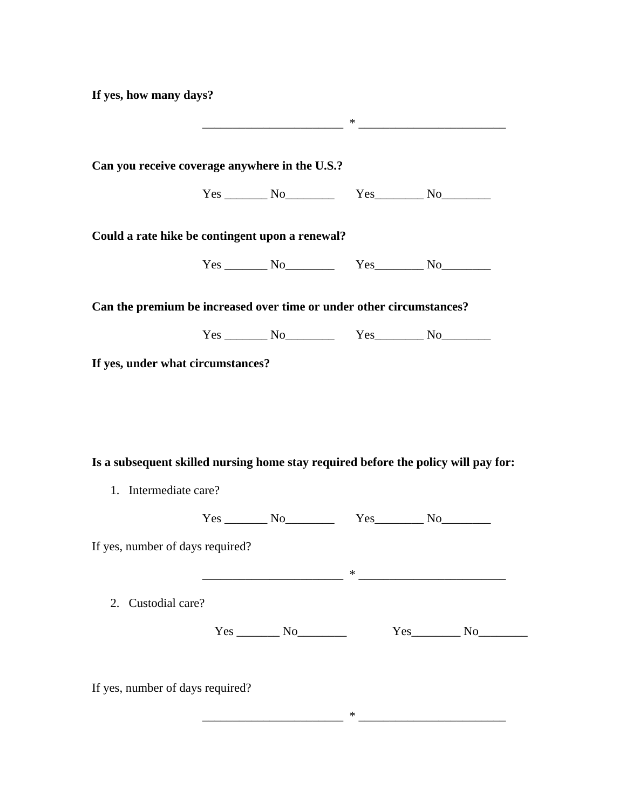**If yes, how many days?** 

| Can you receive coverage anywhere in the U.S.?<br>$Yes$ No $Yes$ No $Yes$ No $No$<br>Could a rate hike be contingent upon a renewal?<br>$Yes$ No $Yes$ No $Yes$ No $No$<br>Can the premium be increased over time or under other circumstances?<br>1. Intermediate care? |  |  |  |
|--------------------------------------------------------------------------------------------------------------------------------------------------------------------------------------------------------------------------------------------------------------------------|--|--|--|
|                                                                                                                                                                                                                                                                          |  |  |  |
|                                                                                                                                                                                                                                                                          |  |  |  |
|                                                                                                                                                                                                                                                                          |  |  |  |
|                                                                                                                                                                                                                                                                          |  |  |  |
|                                                                                                                                                                                                                                                                          |  |  |  |
|                                                                                                                                                                                                                                                                          |  |  |  |
| If yes, under what circumstances?<br>Is a subsequent skilled nursing home stay required before the policy will pay for:<br>If yes, number of days required?                                                                                                              |  |  |  |
|                                                                                                                                                                                                                                                                          |  |  |  |
|                                                                                                                                                                                                                                                                          |  |  |  |
|                                                                                                                                                                                                                                                                          |  |  |  |
|                                                                                                                                                                                                                                                                          |  |  |  |
| 2. Custodial care?                                                                                                                                                                                                                                                       |  |  |  |
| $Yes$ No<br>$Yes$ No                                                                                                                                                                                                                                                     |  |  |  |
|                                                                                                                                                                                                                                                                          |  |  |  |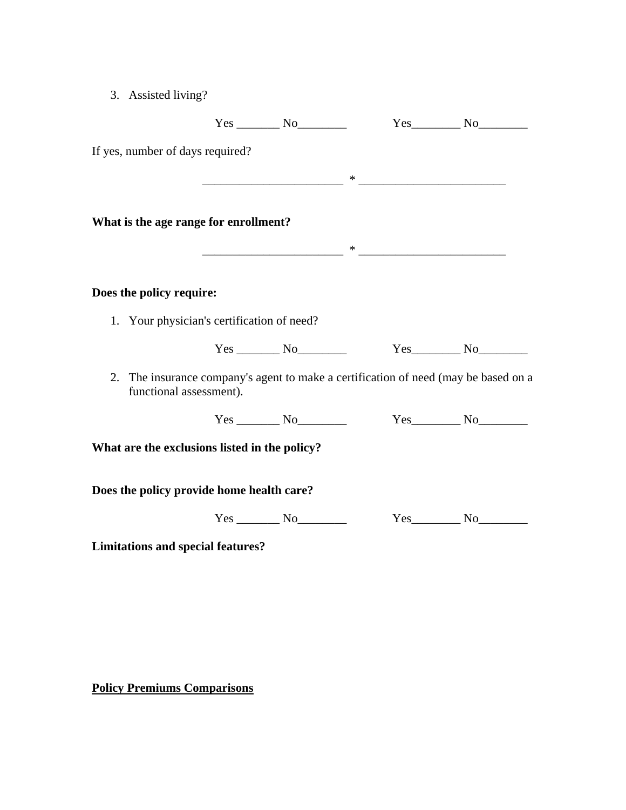| 3. | Assisted living? |
|----|------------------|
|    |                  |

|                                                                                                                   |                   | $Yes$ No No                                                                                                                                                                                                                                                                                                                                                        |  |
|-------------------------------------------------------------------------------------------------------------------|-------------------|--------------------------------------------------------------------------------------------------------------------------------------------------------------------------------------------------------------------------------------------------------------------------------------------------------------------------------------------------------------------|--|
| If yes, number of days required?                                                                                  |                   |                                                                                                                                                                                                                                                                                                                                                                    |  |
|                                                                                                                   |                   |                                                                                                                                                                                                                                                                                                                                                                    |  |
|                                                                                                                   |                   |                                                                                                                                                                                                                                                                                                                                                                    |  |
| What is the age range for enrollment?                                                                             |                   |                                                                                                                                                                                                                                                                                                                                                                    |  |
|                                                                                                                   |                   | $\begin{picture}(150,10) \put(0,0){\vector(1,0){100}} \put(15,0){\vector(1,0){100}} \put(15,0){\vector(1,0){100}} \put(15,0){\vector(1,0){100}} \put(15,0){\vector(1,0){100}} \put(15,0){\vector(1,0){100}} \put(15,0){\vector(1,0){100}} \put(15,0){\vector(1,0){100}} \put(15,0){\vector(1,0){100}} \put(15,0){\vector(1,0){100}} \put(15,0){\vector(1,0){100}}$ |  |
|                                                                                                                   |                   |                                                                                                                                                                                                                                                                                                                                                                    |  |
| Does the policy require:                                                                                          |                   |                                                                                                                                                                                                                                                                                                                                                                    |  |
| 1. Your physician's certification of need?                                                                        |                   |                                                                                                                                                                                                                                                                                                                                                                    |  |
|                                                                                                                   |                   |                                                                                                                                                                                                                                                                                                                                                                    |  |
| The insurance company's agent to make a certification of need (may be based on a<br>2.<br>functional assessment). |                   |                                                                                                                                                                                                                                                                                                                                                                    |  |
|                                                                                                                   | $Yes$ No $\qquad$ | $Yes$ No                                                                                                                                                                                                                                                                                                                                                           |  |
| What are the exclusions listed in the policy?                                                                     |                   |                                                                                                                                                                                                                                                                                                                                                                    |  |
| Does the policy provide home health care?                                                                         |                   |                                                                                                                                                                                                                                                                                                                                                                    |  |
|                                                                                                                   | $Yes$ No          | $Yes$ No                                                                                                                                                                                                                                                                                                                                                           |  |
| <b>Limitations and special features?</b>                                                                          |                   |                                                                                                                                                                                                                                                                                                                                                                    |  |

**Policy Premiums Comparisons**